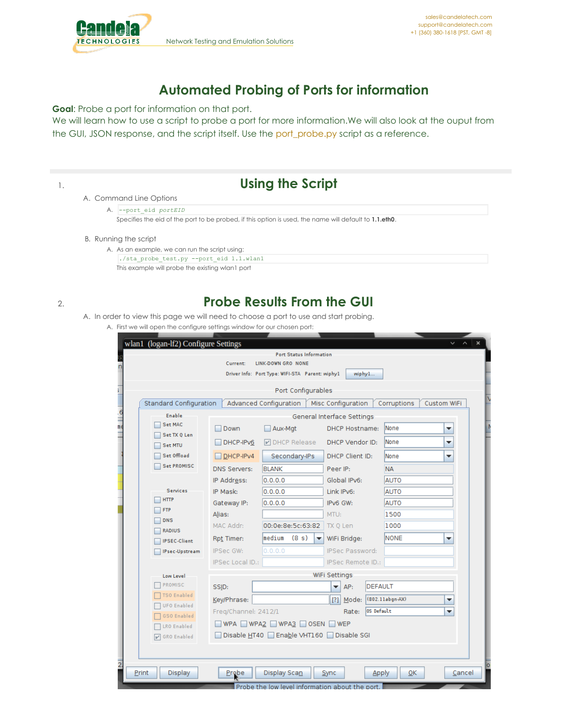

## **Automated Probing of Ports for information**

**Goal**: Probe a port for information on that port.

We will learn how to use a script to probe a port for more information.We will also look at the ouput from the GUI, JSON response, and the script itself. Use the [port\\_probe.py](https://github.com/greearb/lanforge-scripts/blob/master/py-scripts/port_probe.py) script as a reference.

| <b>Using the Script</b>                                                                                |
|--------------------------------------------------------------------------------------------------------|
| A. Command Line Options                                                                                |
| A. --port eid portEID                                                                                  |
| Specifies the eid of the port to be probed, if this option is used, the name will default to 1.1.eth0. |
| B. Running the script                                                                                  |
| A. As an example, we can run the script using:                                                         |
| ./sta probe test.py --port eid 1.1.wlan1                                                               |

This example will probe the existing wlan1 port

## 2. **Probe Results From the GUI**

- A. In order to view this page we will need to choose a port to use and start probing.
	- A. First we will open the configure settings window for our chosen port:

|                                 | Current:                               | <b>Port Status Information</b><br>LINK-DOWN GRO NONE<br>Driver Info: Port Type: WIFI-STA Parent: wiphy1 | wiphy1                                              |                |                          |             |
|---------------------------------|----------------------------------------|---------------------------------------------------------------------------------------------------------|-----------------------------------------------------|----------------|--------------------------|-------------|
|                                 |                                        | Port Configurables                                                                                      |                                                     |                |                          |             |
| Standard Configuration          |                                        | Advanced Configuration                                                                                  | Misc Configuration                                  |                | Corruptions              | Custom WiFi |
| <b>Enable</b><br><b>Set MAC</b> | Down                                   | Aux-Mgt                                                                                                 | General Interface Settings<br><b>DHCP Hostname:</b> |                | lNone                    | ▼           |
| Set TX Q Len<br>Set MTU         | DHCP-IPv6                              | M DHCP Release                                                                                          | DHCP Vendor ID:                                     |                | <b>None</b>              | ▼           |
| Set Offload                     | $DHCP-IPv4$                            | Secondary-IPs                                                                                           | DHCP Client ID:                                     |                | None                     | ▼           |
| <b>Set PROMISC</b>              | <b>DNS Servers:</b>                    | <b>BLANK</b>                                                                                            | Peer IP:                                            |                | <b>NA</b>                |             |
|                                 | IP Address:                            | 0.0.0.0                                                                                                 | Global IPv6:                                        |                | <b>AUTO</b>              |             |
| <b>Services</b>                 | IP Mask:                               | 0.0.0.0                                                                                                 | Link IPv6:                                          |                | <b>AUTO</b>              |             |
| <b>HTTP</b>                     | Gateway IP:                            | 0.0.0.0                                                                                                 | IPv6 GW:                                            |                | <b>AUTO</b>              |             |
| <b>FTP</b>                      | Alias:                                 |                                                                                                         | MTU:                                                |                | 1500                     |             |
| <b>DNS</b><br><b>RADIUS</b>     | MAC Addr:                              | 00:0e:8e:5c:63:82                                                                                       | TX 0 Len                                            |                | 1000                     |             |
| <b>IPSEC-Client</b>             | Rpt Timer:                             | lmedium<br>(8 s)<br>$\blacktriangledown$                                                                | WiFi Bridge:                                        |                | <b>NONE</b>              | ▼           |
| IPsec-Upstream                  | IPSec GW:                              | 0.0.0.0                                                                                                 | <b>IPSec Password:</b>                              |                |                          |             |
|                                 | IPSec Local ID.:                       |                                                                                                         | IPSec Remote ID.:                                   |                |                          |             |
| Low Level                       | WiFi Settings                          |                                                                                                         |                                                     |                |                          |             |
| PROMISC                         | SSID:                                  |                                                                                                         | AP:                                                 | <b>DEFAULT</b> |                          |             |
| <b>TSO Enabled</b>              | Key/Phrase:                            |                                                                                                         | Mode:<br>[?]                                        |                | (802.11abgn-AX)          | ▼           |
| <b>UFO Enabled</b>              | Freq/Channel: 2412/1                   |                                                                                                         | Rate:                                               | OS Default     |                          | ▼           |
| GSO Enabled<br>LRO Enabled      | WPA WPA2 WPA3 OSEN WEP                 |                                                                                                         |                                                     |                |                          |             |
| <b>V</b> GRO Enabled            | Disable HT40 Enable VHT160 Disable SGI |                                                                                                         |                                                     |                |                          |             |
|                                 |                                        |                                                                                                         |                                                     |                |                          |             |
| Display<br>Print                | <b>Probe</b>                           | Display Scan                                                                                            | Sync                                                | Apply          | $\overline{\mathsf{OK}}$ | Cancel      |